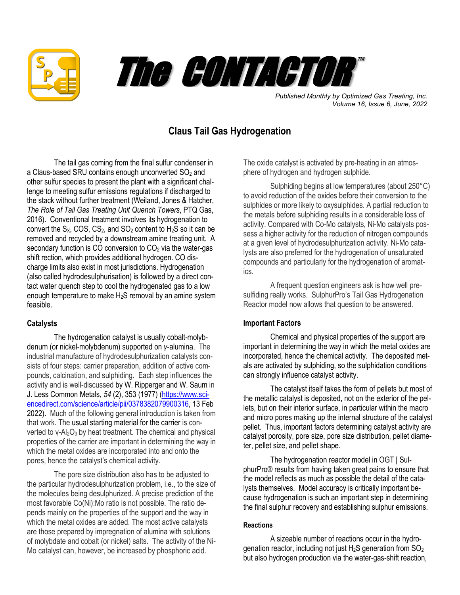



*Published Monthly by Optimized Gas Treating, Inc. Volume 16, Issue 6, June, 2022*

# **Claus Tail Gas Hydrogenation**

 The tail gas coming from the final sulfur condenser in a Claus-based SRU contains enough unconverted  $SO<sub>2</sub>$  and other sulfur species to present the plant with a significant challenge to meeting sulfur emissions regulations if discharged to the stack without further treatment (Weiland, Jones & Hatcher, *The Role of Tail Gas Treating Unit Quench Towers*, PTQ Gas, 2016). Conventional treatment involves its hydrogenation to convert the  $S_x$ , COS, CS<sub>2</sub>, and SO<sub>2</sub> content to  $H_2S$  so it can be removed and recycled by a downstream amine treating unit. A secondary function is CO conversion to  $CO<sub>2</sub>$  via the water-gas shift rection, which provides additional hydrogen. CO discharge limits also exist in most jurisdictions. Hydrogenation (also called hydrodesulphurisation) is followed by a direct contact water quench step to cool the hydrogenated gas to a low enough temperature to make H2S removal by an amine system feasible.

## **Catalysts**

The hydrogenation catalyst is usually cobalt-molybdenum (or nickel-molybdenum) supported on *γ*-alumina. The industrial manufacture of hydrodesulphurization catalysts consists of four steps: carrier preparation, addition of active compounds, calcination, and sulphiding. Each step influences the activity and is well-discussed by W. Ripperger and W. Saum in J. Less Common Metals, *54* (2), 353 (1977) [\(https://www.sci](https://www.sciencedirect.com/science/article/pii/0378382079900316)[encedirect.com/science/article/pii/0378382079900316,](https://www.sciencedirect.com/science/article/pii/0378382079900316) 13 Feb 2022). Much of the following general introduction is taken from that work. The usual starting material for the carrier is converted to γ- $Al<sub>2</sub>O<sub>3</sub>$  by heat treatment. The chemical and physical properties of the carrier are important in determining the way in which the metal oxides are incorporated into and onto the pores, hence the catalyst's chemical activity.

The pore size distribution also has to be adjusted to the particular hydrodesulphurization problem, i.e., to the size of the molecules being desulphurized. A precise prediction of the most favorable Co(Ni):Mo ratio is not possible. The ratio depends mainly on the properties of the support and the way in which the metal oxides are added. The most active catalysts are those prepared by impregnation of alumina with solutions of molybdate and cobalt (or nickel) salts. The activity of the Ni-Mo catalyst can, however, be increased by phosphoric acid.

The oxide catalyst is activated by pre-heating in an atmosphere of hydrogen and hydrogen sulphide.

Sulphiding begins at low temperatures (about 250°C) to avoid reduction of the oxides before their conversion to the sulphides or more likely to oxysulphides. A partial reduction to the metals before sulphiding results in a considerable loss of activity. Compared with Co-Mo catalysts, Ni-Mo catalysts possess a higher activity for the reduction of nitrogen compounds at a given level of hydrodesulphurization activity. Ni-Mo catalysts are also preferred for the hydrogenation of unsaturated compounds and particularly for the hydrogenation of aromatics.

A frequent question engineers ask is how well presulfiding really works. SulphurPro's Tail Gas Hydrogenation Reactor model now allows that question to be answered.

# **Important Factors**

Chemical and physical properties of the support are important in determining the way in which the metal oxides are incorporated, hence the chemical activity. The deposited metals are activated by sulphiding, so the sulphidation conditions can strongly influence catalyst activity.

The catalyst itself takes the form of pellets but most of the metallic catalyst is deposited, not on the exterior of the pellets, but on their interior surface, in particular within the macro and micro pores making up the internal structure of the catalyst pellet. Thus, important factors determining catalyst activity are catalyst porosity, pore size, pore size distribution, pellet diameter, pellet size, and pellet shape.

The hydrogenation reactor model in OGT | SulphurPro® results from having taken great pains to ensure that the model reflects as much as possible the detail of the catalysts themselves. Model accuracy is critically important because hydrogenation is such an important step in determining the final sulphur recovery and establishing sulphur emissions.

#### **Reactions**

A sizeable number of reactions occur in the hydrogenation reactor, including not just  $H_2S$  generation from  $SO_2$ but also hydrogen production via the water-gas-shift reaction,